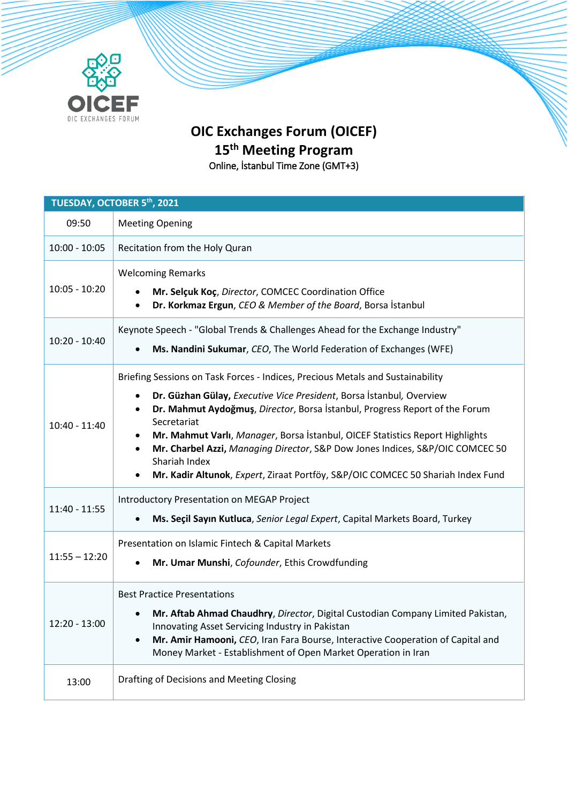

## **OIC Exchanges Forum (OICEF) 15th Meeting Program** Online, İstanbul Time Zone (GMT+3)

**TUESDAY, OCTOBER 5th, 2021** 09:50 Meeting Opening 10:00 - 10:05 **Recitation from the Holy Quran** 10:05 - 10:20 Welcoming Remarks **Mr. Selçuk Koç**, *Director*, COMCEC Coordination Office **Dr. Korkmaz Ergun**, *CEO & Member of the Board*, Borsa İstanbul 10:20 - 10:40 Keynote Speech - "Global Trends & Challenges Ahead for the Exchange Industry" **Ms. Nandini Sukumar**, *CEO*, The World Federation of Exchanges (WFE) 10:40 - 11:40 Briefing Sessions on Task Forces - Indices, Precious Metals and Sustainability **Dr. Güzhan Gülay,** *Executive Vice President*, Borsa İstanbul*,* Overview **Dr. Mahmut Aydoğmuş**, *Director*, Borsa İstanbul, Progress Report of the Forum Secretariat **Mr. Mahmut Varlı**, *Manager*, Borsa İstanbul, OICEF Statistics Report Highlights **Mr. Charbel Azzi,** *Managing Director*, S&P Dow Jones Indices, S&P/OIC COMCEC 50 Shariah Index **Mr. Kadir Altunok**, *Expert*, Ziraat Portföy, S&P/OIC COMCEC 50 Shariah Index Fund 11:40 - 11:55 Introductory Presentation on MEGAP Project **Ms. Seçil Sayın Kutluca**, *Senior Legal Expert*, Capital Markets Board, Turkey 11:55 – 12:20 Presentation on Islamic Fintech & Capital Markets **Mr. Umar Munshi**, *Cofounder*, Ethis Crowdfunding 12:20 - 13:00 Best Practice Presentations **Mr. Aftab Ahmad Chaudhry**, *Director*, Digital Custodian Company Limited Pakistan, Innovating Asset Servicing Industry in Pakistan **Mr. Amir Hamooni,** *CEO*, Iran Fara Bourse, Interactive Cooperation of Capital and Money Market - Establishment of Open Market Operation in Iran 13:00 | Drafting of Decisions and Meeting Closing